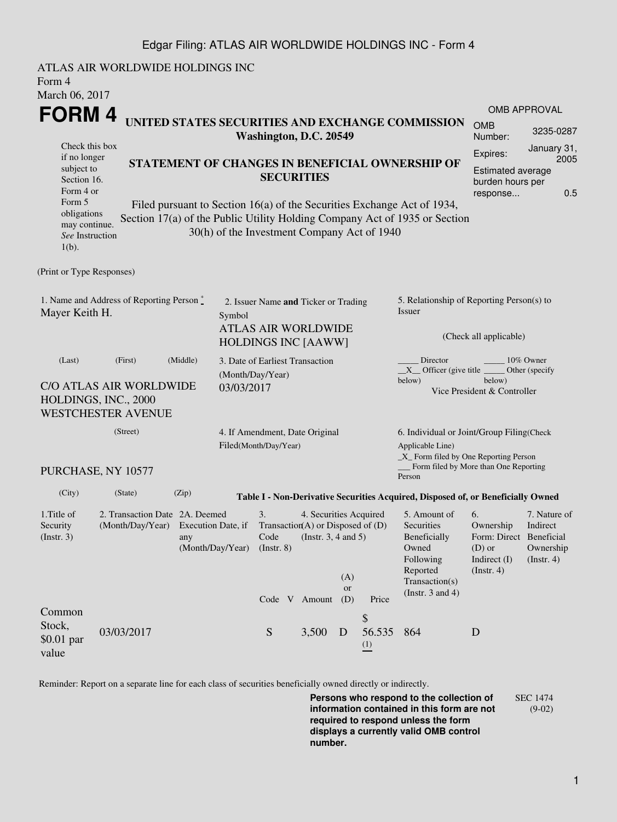## Edgar Filing: ATLAS AIR WORLDWIDE HOLDINGS INC - Form 4

ATLAS AIR WORLDWIDE HOLDINGS INC Form 4 March 06, 2017 **FORM 4** Check this box if no longer subject to Section 16. Form 4 or Form 5 obligations may continue. *See* Instruction 1(b). **UNITED STATES SECURITIES AND EXCHANGE COMMISSION Washington, D.C. 20549 STATEMENT OF CHANGES IN BENEFICIAL OWNERSHIP OF SECURITIES** Filed pursuant to Section 16(a) of the Securities Exchange Act of 1934, Section 17(a) of the Public Utility Holding Company Act of 1935 or Section 30(h) of the Investment Company Act of 1940 OMB APPROVAL OMB Number: 3235-0287 Expires: January 31, 2005 Estimated average burden hours per response... 0.5 (Print or Type Responses) 1. Name and Address of Reporting Person  $\degree$ Mayer Keith H. 2. Issuer Name **and** Ticker or Trading Symbol ATLAS AIR WORLDWIDE HOLDINGS INC [AAWW] 5. Relationship of Reporting Person(s) to Issuer (Check all applicable) Director \_\_\_\_\_\_\_\_ 10% Owner  $X$ <sup>Officer</sup> (give title below) Other (specify below) Vice President & Controller (Last) (First) (Middle) C/O ATLAS AIR WORLDWIDE HOLDINGS, INC., 2000 WESTCHESTER AVENUE 3. Date of Earliest Transaction (Month/Day/Year) 03/03/2017 (Street) PURCHASE, NY 10577 4. If Amendment, Date Original Filed(Month/Day/Year) 6. Individual or Joint/Group Filing(Check Applicable Line) \_X\_ Form filed by One Reporting Person Form filed by More than One Reporting Person (City) (State) (Zip) **Table I - Non-Derivative Securities Acquired, Disposed of, or Beneficially Owned** 1.Title of Security (Instr. 3) 2. Transaction Date 2A. Deemed (Month/Day/Year) Execution Date, if any (Month/Day/Year) 3. Transaction (A) or Disposed of (D) Code (Instr. 8) 4. Securities Acquired (Instr. 3, 4 and 5) 5. Amount of Securities Beneficially Owned Following Reported Transaction(s) (Instr. 3 and 4) 6. Ownership Form: Direct Beneficial (D) or Indirect (I) (Instr. 4) 7. Nature of Indirect Ownership (Instr. 4) Code V Amount (A) or Price Common Stock, \$0.01 par value 03/03/2017 S 3.500 D \$ 56.535 (1) 864 D

Reminder: Report on a separate line for each class of securities beneficially owned directly or indirectly.

**Persons who respond to the collection of information contained in this form are not required to respond unless the form displays a currently valid OMB control number.** SEC 1474 (9-02)